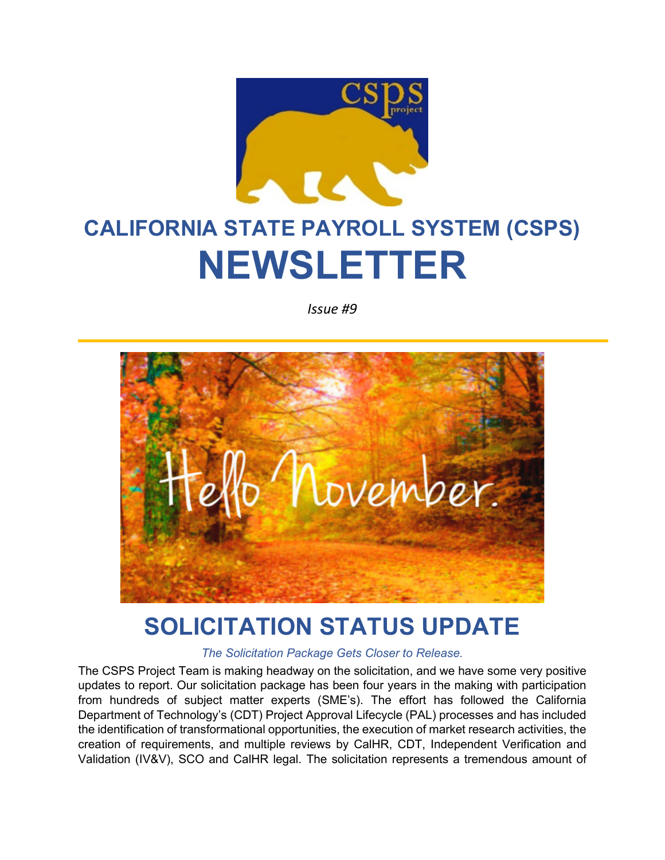

# **CALIFORNIA STATE PAYROLL SYSTEM (CSPS) NEWSLETTER**

*Issue #9*



### **SOLICITATION STATUS UPDATE**

*The Solicitation Package Gets Closer to Release.*

The CSPS Project Team is making headway on the solicitation, and we have some very positive updates to report. Our solicitation package has been four years in the making with participation from hundreds of subject matter experts (SME's). The effort has followed the California Department of Technology's (CDT) Project Approval Lifecycle (PAL) processes and has included the identification of transformational opportunities, the execution of market research activities, the creation of requirements, and multiple reviews by CalHR, CDT, Independent Verification and Validation (IV&V), SCO and CalHR legal. The solicitation represents a tremendous amount of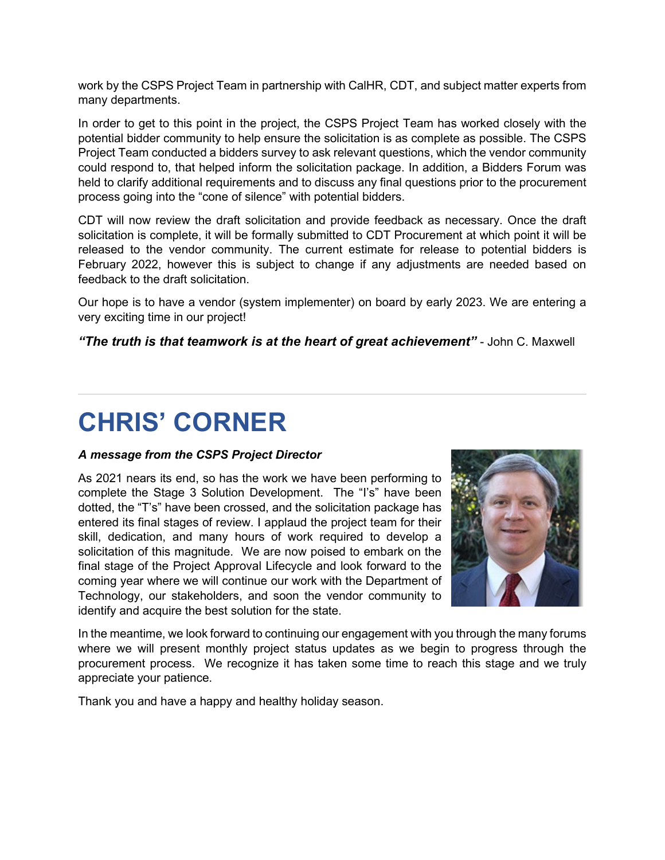work by the CSPS Project Team in partnership with CalHR, CDT, and subject matter experts from many departments.

In order to get to this point in the project, the CSPS Project Team has worked closely with the potential bidder community to help ensure the solicitation is as complete as possible. The CSPS Project Team conducted a bidders survey to ask relevant questions, which the vendor community could respond to, that helped inform the solicitation package. In addition, a Bidders Forum was held to clarify additional requirements and to discuss any final questions prior to the procurement process going into the "cone of silence" with potential bidders.

CDT will now review the draft solicitation and provide feedback as necessary. Once the draft solicitation is complete, it will be formally submitted to CDT Procurement at which point it will be released to the vendor community. The current estimate for release to potential bidders is February 2022, however this is subject to change if any adjustments are needed based on feedback to the draft solicitation.

Our hope is to have a vendor (system implementer) on board by early 2023. We are entering a very exciting time in our project!

*"The truth is that teamwork is at the heart of great achievement"* - John C. Maxwell

# **CHRIS' CORNER**

### *A message from the CSPS Project Director*

As 2021 nears its end, so has the work we have been performing to complete the Stage 3 Solution Development. The "I's" have been dotted, the "T's" have been crossed, and the solicitation package has entered its final stages of review. I applaud the project team for their skill, dedication, and many hours of work required to develop a solicitation of this magnitude. We are now poised to embark on the final stage of the Project Approval Lifecycle and look forward to the coming year where we will continue our work with the Department of Technology, our stakeholders, and soon the vendor community to identify and acquire the best solution for the state.



In the meantime, we look forward to continuing our engagement with you through the many forums where we will present monthly project status updates as we begin to progress through the procurement process. We recognize it has taken some time to reach this stage and we truly appreciate your patience.

Thank you and have a happy and healthy holiday season.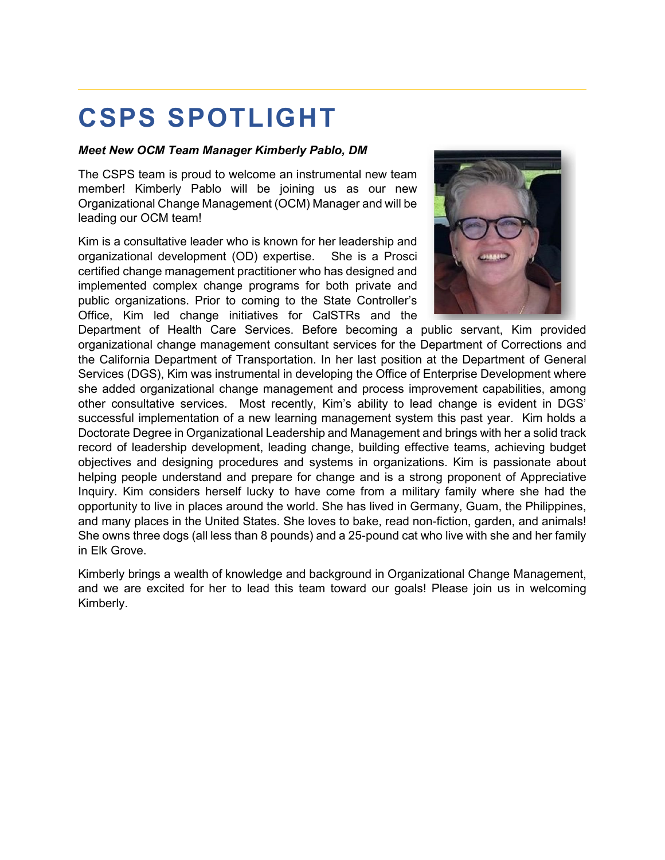# **CSPS SPOTLIGHT**

### *Meet New OCM Team Manager Kimberly Pablo, DM*

The CSPS team is proud to welcome an instrumental new team member! Kimberly Pablo will be joining us as our new Organizational Change Management (OCM) Manager and will be leading our OCM team!

Kim is a consultative leader who is known for her leadership and organizational development (OD) expertise. She is a Prosci certified change management practitioner who has designed and implemented complex change programs for both private and public organizations. Prior to coming to the State Controller's Office, Kim led change initiatives for CalSTRs and the



Department of Health Care Services. Before becoming a public servant, Kim provided organizational change management consultant services for the Department of Corrections and the California Department of Transportation. In her last position at the Department of General Services (DGS), Kim was instrumental in developing the Office of Enterprise Development where she added organizational change management and process improvement capabilities, among other consultative services. Most recently, Kim's ability to lead change is evident in DGS' successful implementation of a new learning management system this past year. Kim holds a Doctorate Degree in Organizational Leadership and Management and brings with her a solid track record of leadership development, leading change, building effective teams, achieving budget objectives and designing procedures and systems in organizations. Kim is passionate about helping people understand and prepare for change and is a strong proponent of Appreciative Inquiry. Kim considers herself lucky to have come from a military family where she had the opportunity to live in places around the world. She has lived in Germany, Guam, the Philippines, and many places in the United States. She loves to bake, read non-fiction, garden, and animals! She owns three dogs (all less than 8 pounds) and a 25-pound cat who live with she and her family in Elk Grove.

Kimberly brings a wealth of knowledge and background in Organizational Change Management, and we are excited for her to lead this team toward our goals! Please join us in welcoming Kimberly.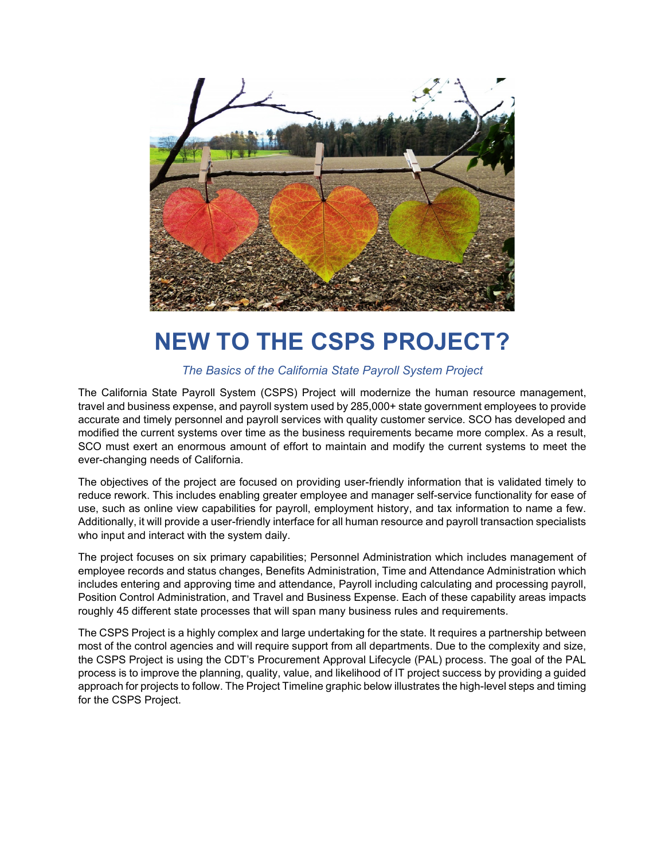

## **NEW TO THE CSPS PROJECT?**

### *The Basics of the California State Payroll System Project*

The California State Payroll System (CSPS) Project will modernize the human resource management, travel and business expense, and payroll system used by 285,000+ state government employees to provide accurate and timely personnel and payroll services with quality customer service. SCO has developed and modified the current systems over time as the business requirements became more complex. As a result, SCO must exert an enormous amount of effort to maintain and modify the current systems to meet the ever-changing needs of California.

The objectives of the project are focused on providing user-friendly information that is validated timely to reduce rework. This includes enabling greater employee and manager self-service functionality for ease of use, such as online view capabilities for payroll, employment history, and tax information to name a few. Additionally, it will provide a user-friendly interface for all human resource and payroll transaction specialists who input and interact with the system daily.

The project focuses on six primary capabilities; Personnel Administration which includes management of employee records and status changes, Benefits Administration, Time and Attendance Administration which includes entering and approving time and attendance, Payroll including calculating and processing payroll, Position Control Administration, and Travel and Business Expense. Each of these capability areas impacts roughly 45 different state processes that will span many business rules and requirements.

The CSPS Project is a highly complex and large undertaking for the state. It requires a partnership between most of the control agencies and will require support from all departments. Due to the complexity and size, the CSPS Project is using the CDT's Procurement Approval Lifecycle (PAL) process. The goal of the PAL process is to improve the planning, quality, value, and likelihood of IT project success by providing a guided approach for projects to follow. The Project Timeline graphic below illustrates the high-level steps and timing for the CSPS Project.